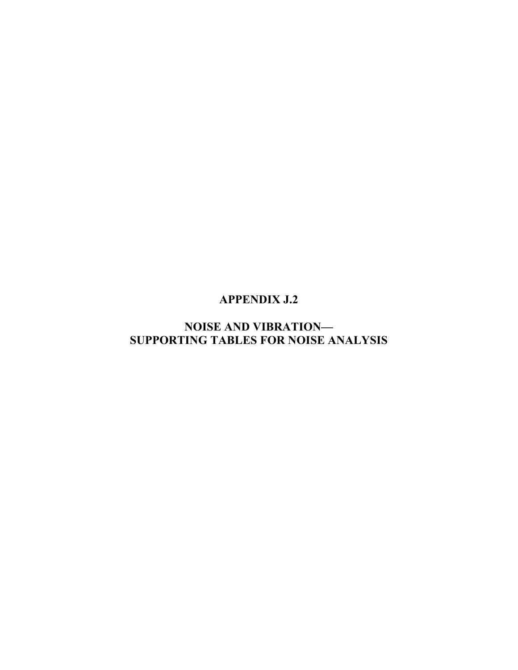# **APPENDIX J.2**

# **NOISE AND VIBRATION— SUPPORTING TABLES FOR NOISE ANALYSIS**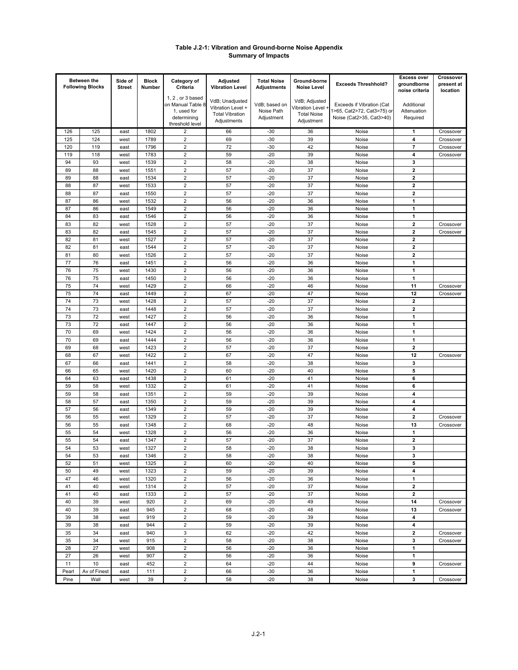#### **Table J.2-1: Vibration and Ground-borne Noise Appendix Summary of Impacts**

|            | <b>Between the</b>      | Side of       | <b>Block</b> | Category of                                        | Adjusted                              | <b>Total Noise</b> | Ground-borne                     |                            | <b>Excess over</b>            | Crossover              |
|------------|-------------------------|---------------|--------------|----------------------------------------------------|---------------------------------------|--------------------|----------------------------------|----------------------------|-------------------------------|------------------------|
|            | <b>Following Blocks</b> | <b>Street</b> | Number       | Criteria                                           | <b>Vibration Level</b>                | <b>Adjustments</b> | Noise Level                      | <b>Exceeds Threshhold?</b> | groundborne<br>noise criteria | present at<br>location |
|            |                         |               |              | 1, 2, or 3 based<br>on Manual Table 8              | VdB; Unadjusted                       | VdB; based on      | VdB; Adjusted                    | Exceeds if Vibration (Cat  | Additional                    |                        |
|            |                         |               |              | 1, used for                                        | Vibration Level +                     | Noise Path         | Vibration Level                  | 1>65, Cat2>72, Cat3>75) or | Attenuation                   |                        |
|            |                         |               |              | determining                                        | <b>Total Vibration</b><br>Adjustments | Adjustment         | <b>Total Noise</b><br>Adjustment | Noise (Cat2>35, Cat3>40)   | Required                      |                        |
|            |                         |               | 1802         | threshold level                                    |                                       |                    |                                  |                            |                               | Crossover              |
| 126<br>125 | 125<br>124              | east<br>west  | 1789         | 2<br>$\overline{\mathbf{c}}$                       | 66<br>69                              | $-30$<br>$-30$     | 36<br>39                         | Noise<br>Noise             | 1<br>4                        | Crossover              |
| 120        | 119                     | east          | 1796         | $\overline{\mathbf{c}}$                            | 72                                    | $-30$              | 42                               | Noise                      | $\overline{\mathbf{r}}$       | Crossover              |
| 119        | 118                     | west          | 1783         | $\mathbf 2$                                        | 59                                    | $-20$              | 39                               | Noise                      | 4                             | Crossover              |
| 94         | 93                      | west          | 1539         | $\overline{\mathbf{c}}$                            | 58                                    | $-20$              | 38                               | Noise                      | 3                             |                        |
| 89         | 88                      | west          | 1551         | $\mathbf 2$                                        | 57                                    | $-20$              | 37                               | Noise                      | $\mathbf 2$                   |                        |
| 89         | 88                      | east          | 1534         | $\mathbf 2$                                        | 57                                    | $-20$              | 37                               | Noise                      | $\overline{\mathbf{2}}$       |                        |
| 88         | 87                      | west          | 1533         | $\mathbf 2$                                        | 57                                    | $-20$              | 37                               | Noise                      | $\mathbf 2$                   |                        |
| 88         | 87                      | east          | 1550         | $\mathbf 2$                                        | 57                                    | $-20$              | 37                               | Noise                      | $\overline{\mathbf{2}}$       |                        |
| 87<br>87   | 86<br>86                | west<br>east  | 1532<br>1549 | $\overline{\mathbf{c}}$<br>$\overline{2}$          | 56<br>56                              | $-20$<br>$-20$     | 36<br>36                         | Noise<br>Noise             | $\mathbf{1}$<br>$\mathbf{1}$  |                        |
| 84         | 83                      | east          | 1546         | $\overline{2}$                                     | 56                                    | $-20$              | 36                               | Noise                      | $\mathbf{1}$                  |                        |
| 83         | 82                      | west          | 1528         | $\mathbf 2$                                        | 57                                    | $-20$              | 37                               | Noise                      | $\overline{\mathbf{2}}$       | Crossover              |
| 83         | 82                      | east          | 1545         | $\mathbf 2$                                        | 57                                    | $-20$              | 37                               | Noise                      | $\overline{\mathbf{2}}$       | Crossover              |
| 82         | 81                      | west          | 1527         | $\mathbf 2$                                        | 57                                    | $-20$              | 37                               | Noise                      | $\overline{\mathbf{2}}$       |                        |
| 82         | 81                      | east          | 1544         | $\overline{\mathbf{c}}$                            | 57                                    | $-20$              | 37                               | Noise                      | 2                             |                        |
| 81         | 80                      | west          | 1526         | $\overline{\mathbf{c}}$                            | 57                                    | $-20$              | 37                               | Noise                      | $\overline{\mathbf{2}}$       |                        |
| 77         | 76                      | east          | 1451         | $\overline{\mathbf{c}}$                            | 56                                    | $-20$              | 36                               | Noise                      | 1                             |                        |
| 76         | 75                      | west          | 1430         | $\mathbf 2$                                        | 56                                    | $-20$              | 36                               | Noise                      | 1                             |                        |
| 76         | 75                      | east          | 1450         | $\mathbf 2$                                        | 56                                    | $-20$              | 36                               | Noise                      | $\mathbf{1}$                  |                        |
| 75         | 74<br>74                | west          | 1429<br>1449 | $\mathbf 2$<br>$\overline{2}$                      | 66<br>67                              | $-20$<br>$-20$     | 46<br>47                         | Noise                      | 11<br>12                      | Crossover              |
| 75<br>74   | 73                      | east<br>west  | 1428         | $\overline{2}$                                     | 57                                    | $-20$              | 37                               | Noise<br>Noise             | $\mathbf 2$                   | Crossover              |
| 74         | 73                      | east          | 1448         | $\overline{2}$                                     | 57                                    | $-20$              | 37                               | Noise                      | $\overline{\mathbf{2}}$       |                        |
| 73         | 72                      | west          | 1427         | $\overline{2}$                                     | 56                                    | $-20$              | 36                               | Noise                      | 1                             |                        |
| 73         | 72                      | east          | 1447         | $\overline{2}$                                     | 56                                    | $-20$              | 36                               | Noise                      | $\mathbf{1}$                  |                        |
| 70         | 69                      | west          | 1424         | $\mathbf 2$                                        | 56                                    | $-20$              | 36                               | Noise                      | 1                             |                        |
| 70         | 69                      | east          | 1444         | $\overline{2}$                                     | 56                                    | $-20$              | 36                               | Noise                      | $\mathbf{1}$                  |                        |
| 69         | 68                      | west          | 1423         | $\mathbf 2$                                        | 57                                    | $-20$              | 37                               | Noise                      | $\overline{\mathbf{2}}$       |                        |
| 68         | 67                      | west          | 1422         | $\overline{\mathbf{c}}$                            | 67                                    | $-20$              | 47                               | Noise                      | 12                            | Crossover              |
| 67         | 66<br>65                | east          | 1441<br>1420 | $\mathbf 2$<br>$\mathbf 2$                         | 58<br>60                              | $-20$<br>$-20$     | 38<br>40                         | Noise                      | 3<br>5                        |                        |
| 66<br>64   | 63                      | west<br>east  | 1438         | $\mathbf 2$                                        | 61                                    | $-20$              | 41                               | Noise<br>Noise             | 6                             |                        |
| 59         | 58                      | west          | 1332         | $\overline{2}$                                     | 61                                    | $-20$              | 41                               | Noise                      | 6                             |                        |
| 59         | 58                      | east          | 1351         | $\mathbf 2$                                        | 59                                    | $-20$              | 39                               | Noise                      | 4                             |                        |
| 58         | 57                      | east          | 1350         | $\overline{\mathbf{c}}$                            | 59                                    | $-20$              | 39                               | Noise                      | 4                             |                        |
| 57         | 56                      | east          | 1349         | $\mathbf 2$                                        | 59                                    | $-20$              | 39                               | Noise                      | 4                             |                        |
| 56         | 55                      | west          | 1329         | $\mathbf 2$                                        | 57                                    | $-20$              | 37                               | Noise                      | $\overline{\mathbf{2}}$       | Crossover              |
| 56         | 55                      | east          | 1348         | $\mathbf 2$                                        | 68                                    | $-20$              | 48                               | Noise                      | 13                            | Crossover              |
| 55         | 54                      | west          | 1328         | $\mathbf 2$                                        | 56                                    | $-20$              | 36                               | Noise                      | 1                             |                        |
| 55<br>54   | 54<br>53                | east          | 1347         | $\overline{\mathbf{c}}$<br>$\overline{\mathbf{c}}$ | 57<br>58                              | $-20$<br>$-20$     | 37<br>38                         | Noise                      | 2<br>3                        |                        |
| 54         | 53                      | west<br>east  | 1327<br>1346 | 2                                                  | 58                                    | $-20$              | 38                               | Noise<br>Noise             | 3                             |                        |
| 52         | 51                      | west          | 1325         | $\overline{\mathbf{c}}$                            | 60                                    | $-20$              | 40                               | Noise                      | 5                             |                        |
| 50         | 49                      | west          | 1323         | $\overline{\mathbf{c}}$                            | 59                                    | $-20$              | 39                               | Noise                      | 4                             |                        |
| 47         | 46                      | west          | 1320         | $\boldsymbol{2}$                                   | 56                                    | $-20$              | 36                               | Noise                      | 1                             |                        |
| 41         | 40                      | west          | 1314         | $\boldsymbol{2}$                                   | 57                                    | $-20$              | 37                               | Noise                      | $\mathbf 2$                   |                        |
| 41         | 40                      | east          | 1333         | $\mathbf 2$                                        | 57                                    | $-20$              | 37                               | Noise                      | $\mathbf{2}$                  |                        |
| 40         | 39                      | west          | 920          | $\overline{\mathbf{c}}$                            | 69                                    | $-20$              | 49                               | Noise                      | 14                            | Crossover              |
| 40         | 39                      | east          | 945          | $\mathbf 2$                                        | 68                                    | $-20$              | 48                               | Noise                      | 13                            | Crossover              |
| 39         | 38                      | west          | 919          | $\overline{\mathbf{c}}$                            | 59                                    | $-20$              | 39                               | Noise                      | 4                             |                        |
| 39         | 38                      | east          | 944          | $\mathbf 2$<br>3                                   | 59                                    | $-20$              | 39                               | Noise                      | 4<br>$\mathbf 2$              |                        |
| 35<br>35   | 34<br>34                | east<br>west  | 940<br>915   | $\mathbf 2$                                        | 62<br>58                              | $-20$<br>$-20$     | 42<br>38                         | Noise<br>Noise             | 3                             | Crossover<br>Crossover |
| 28         | 27                      | west          | 908          | $\overline{\mathbf{c}}$                            | 56                                    | $-20$              | 36                               | Noise                      | $\mathbf{1}$                  |                        |
| 27         | 26                      | west          | 907          | $\mathbf 2$                                        | 56                                    | $-20$              | 36                               | Noise                      | $\mathbf{1}$                  |                        |
| 11         | 10                      | east          | 452          | $\mathbf 2$                                        | 64                                    | $-20$              | 44                               | Noise                      | 9                             | Crossover              |
| Pearl      | Av of Finest            | east          | 111          | $\mathbf 2$                                        | 66                                    | $-30$              | 36                               | Noise                      | $\mathbf 1$                   |                        |
| Pine       | Wall                    | west          | 39           | $\overline{\mathbf{c}}$                            | 58                                    | $-20$              | 38                               | Noise                      | 3                             | Crossover              |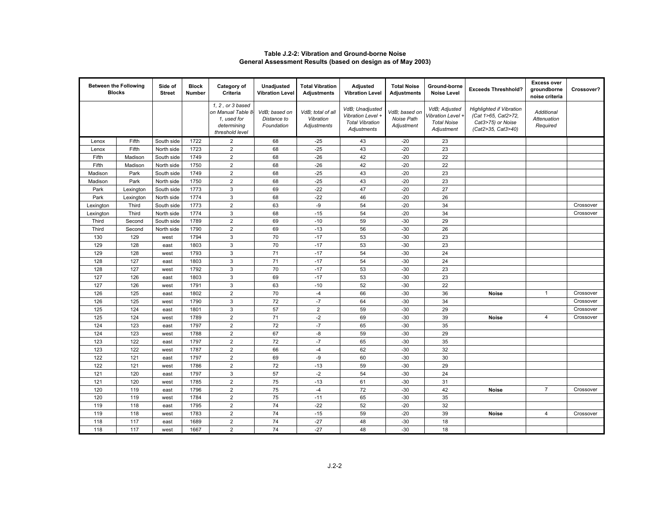|           | <b>Between the Following</b><br><b>Blocks</b> | Side of<br><b>Street</b> | <b>Block</b><br>Number | Category of<br>Criteria                                                                 | Unadjusted<br><b>Vibration Level</b>       | <b>Total Vibration</b><br><b>Adjustments</b>  | Adjusted<br><b>Vibration Level</b>                                            | <b>Total Noise</b><br><b>Adjustments</b>  | Ground-borne<br><b>Noise Level</b>                                     | <b>Exceeds Threshhold?</b>                                                                        | <b>Excess over</b><br>groundborne<br>noise criteria | Crossover? |
|-----------|-----------------------------------------------|--------------------------|------------------------|-----------------------------------------------------------------------------------------|--------------------------------------------|-----------------------------------------------|-------------------------------------------------------------------------------|-------------------------------------------|------------------------------------------------------------------------|---------------------------------------------------------------------------------------------------|-----------------------------------------------------|------------|
|           |                                               |                          |                        | 1, 2, or 3 based<br>on Manual Table 8-<br>1, used for<br>determining<br>threshold level | VdB; based on<br>Distance to<br>Foundation | VdB; total of all<br>Vibration<br>Adjustments | VdB; Unadjusted<br>Vibration Level +<br><b>Total Vibration</b><br>Adjustments | VdB; based on<br>Noise Path<br>Adjustment | VdB: Adjusted<br>/ibration Level +<br><b>Total Noise</b><br>Adjustment | <b>Highlighted if Vibration</b><br>(Cat 1>65, Cat2>72,<br>Cat3>75) or Noise<br>(Cat2>35, Cat3>40) | Additional<br>Attenuation<br>Required               |            |
| Lenox     | Fifth                                         | South side               | 1722                   | $\overline{2}$                                                                          | 68                                         | $-25$                                         | 43                                                                            | $-20$                                     | 23                                                                     |                                                                                                   |                                                     |            |
| Lenox     | Fifth                                         | North side               | 1723                   | $\overline{2}$                                                                          | 68                                         | $-25$                                         | 43                                                                            | $-20$                                     | 23                                                                     |                                                                                                   |                                                     |            |
| Fifth     | Madison                                       | South side               | 1749                   | $\overline{2}$                                                                          | 68                                         | $-26$                                         | 42                                                                            | $-20$                                     | 22                                                                     |                                                                                                   |                                                     |            |
| Fifth     | Madison                                       | North side               | 1750                   | $\overline{2}$                                                                          | 68                                         | $-26$                                         | 42                                                                            | $-20$                                     | 22                                                                     |                                                                                                   |                                                     |            |
| Madison   | Park                                          | South side               | 1749                   | $\overline{2}$                                                                          | 68                                         | $-25$                                         | 43                                                                            | $-20$                                     | 23                                                                     |                                                                                                   |                                                     |            |
| Madison   | Park                                          | North side               | 1750                   | $\overline{2}$                                                                          | 68                                         | $-25$                                         | 43                                                                            | $-20$                                     | 23                                                                     |                                                                                                   |                                                     |            |
| Park      | Lexington                                     | South side               | 1773                   | $\ensuremath{\mathsf{3}}$                                                               | 69                                         | $-22$                                         | 47                                                                            | $-20$                                     | 27                                                                     |                                                                                                   |                                                     |            |
| Park      | Lexington                                     | North side               | 1774                   | $\mathbf{3}$                                                                            | 68                                         | $-22$                                         | 46                                                                            | $-20$                                     | 26                                                                     |                                                                                                   |                                                     |            |
| Lexington | Third                                         | South side               | 1773                   | $\overline{2}$                                                                          | 63                                         | -9                                            | 54                                                                            | $-20$                                     | 34                                                                     |                                                                                                   |                                                     | Crossover  |
| Lexington | Third                                         | North side               | 1774                   | $\mathbf{3}$                                                                            | 68                                         | $-15$                                         | 54                                                                            | $-20$                                     | 34                                                                     |                                                                                                   |                                                     | Crossover  |
| Third     | Second                                        | South side               | 1789                   | $\overline{2}$                                                                          | 69                                         | $-10$                                         | 59                                                                            | $-30$                                     | 29                                                                     |                                                                                                   |                                                     |            |
| Third     | Second                                        | North side               | 1790                   | $\overline{2}$                                                                          | 69                                         | $-13$                                         | 56                                                                            | $-30$                                     | 26                                                                     |                                                                                                   |                                                     |            |
| 130       | 129                                           | west                     | 1794                   | $\ensuremath{\mathsf{3}}$                                                               | 70                                         | $-17$                                         | 53                                                                            | $-30$                                     | 23                                                                     |                                                                                                   |                                                     |            |
| 129       | 128                                           | east                     | 1803                   | $\mathbf{3}$                                                                            | 70                                         | $-17$                                         | 53                                                                            | $-30$                                     | 23                                                                     |                                                                                                   |                                                     |            |
| 129       | 128                                           | west                     | 1793                   | $\mathbf{3}$                                                                            | 71                                         | $-17$                                         | 54                                                                            | $-30$                                     | 24                                                                     |                                                                                                   |                                                     |            |
| 128       | 127                                           | east                     | 1803                   | 3                                                                                       | 71                                         | $-17$                                         | 54                                                                            | $-30$                                     | 24                                                                     |                                                                                                   |                                                     |            |
| 128       | 127                                           | west                     | 1792                   | 3                                                                                       | 70                                         | $-17$                                         | 53                                                                            | $-30$                                     | 23                                                                     |                                                                                                   |                                                     |            |
| 127       | 126                                           | east                     | 1803                   | $\mathbf{3}$                                                                            | 69                                         | $-17$                                         | 53                                                                            | $-30$                                     | 23                                                                     |                                                                                                   |                                                     |            |
| 127       | 126                                           | west                     | 1791                   | $\mathsf 3$                                                                             | 63                                         | $-10$                                         | 52                                                                            | $-30$                                     | 22                                                                     |                                                                                                   |                                                     |            |
| 126       | 125                                           | east                     | 1802                   | $\overline{2}$                                                                          | 70                                         | $-4$                                          | 66                                                                            | $-30$                                     | 36                                                                     | <b>Noise</b>                                                                                      | $\mathbf{1}$                                        | Crossover  |
| 126       | 125                                           | west                     | 1790                   | $\mathbf{3}$                                                                            | 72                                         | $-7$                                          | 64                                                                            | $-30$                                     | 34                                                                     |                                                                                                   |                                                     | Crossover  |
| 125       | 124                                           | east                     | 1801                   | $\overline{3}$                                                                          | 57                                         | $\overline{2}$                                | 59                                                                            | $-30$                                     | 29                                                                     |                                                                                                   |                                                     | Crossover  |
| 125       | 124                                           | west                     | 1789                   | $\overline{2}$                                                                          | 71                                         | $-2$                                          | 69                                                                            | $-30$                                     | 39                                                                     | <b>Noise</b>                                                                                      | $\overline{4}$                                      | Crossover  |
| 124       | 123                                           | east                     | 1797                   | $\overline{2}$                                                                          | 72                                         | $-7$                                          | 65                                                                            | $-30$                                     | 35                                                                     |                                                                                                   |                                                     |            |
| 124       | 123                                           | west                     | 1788                   | $\overline{2}$                                                                          | 67                                         | -8                                            | 59                                                                            | $-30$                                     | 29                                                                     |                                                                                                   |                                                     |            |
| 123       | 122                                           | east                     | 1797                   | $\overline{2}$                                                                          | 72                                         | $-7$                                          | 65                                                                            | $-30$                                     | 35                                                                     |                                                                                                   |                                                     |            |
| 123       | 122                                           | west                     | 1787                   | $\overline{2}$                                                                          | 66                                         | $-4$                                          | 62                                                                            | $-30$                                     | 32                                                                     |                                                                                                   |                                                     |            |
| 122       | 121                                           | east                     | 1797                   | $\overline{2}$                                                                          | 69                                         | -9                                            | 60                                                                            | $-30$                                     | 30                                                                     |                                                                                                   |                                                     |            |
| 122       | 121                                           | west                     | 1786                   | $\overline{2}$                                                                          | 72                                         | $-13$                                         | 59                                                                            | $-30$                                     | 29                                                                     |                                                                                                   |                                                     |            |
| 121       | 120                                           | east                     | 1797                   | 3                                                                                       | 57                                         | $-2$                                          | 54                                                                            | $-30$                                     | 24                                                                     |                                                                                                   |                                                     |            |
| 121       | 120                                           | west                     | 1785                   | $\overline{2}$                                                                          | 75                                         | $-13$                                         | 61                                                                            | $-30$                                     | 31                                                                     |                                                                                                   |                                                     |            |
| 120       | 119                                           | east                     | 1796                   | $\overline{2}$                                                                          | 75                                         | $-4$                                          | 72                                                                            | $-30$                                     | 42                                                                     | Noise                                                                                             | $\overline{7}$                                      | Crossover  |
| 120       | 119                                           | west                     | 1784                   | $\sqrt{2}$                                                                              | 75                                         | $-11$                                         | 65                                                                            | $-30$                                     | 35                                                                     |                                                                                                   |                                                     |            |
| 119       | 118                                           | east                     | 1795                   | $\overline{2}$                                                                          | 74                                         | $-22$                                         | 52                                                                            | $-20$                                     | 32                                                                     |                                                                                                   |                                                     |            |
| 119       | 118                                           | west                     | 1783                   | $\overline{2}$                                                                          | 74                                         | $-15$                                         | 59                                                                            | $-20$                                     | 39                                                                     | <b>Noise</b>                                                                                      | $\overline{4}$                                      | Crossover  |
| 118       | 117                                           | east                     | 1689                   | $\overline{2}$                                                                          | 74                                         | $-27$                                         | 48                                                                            | $-30$                                     | 18                                                                     |                                                                                                   |                                                     |            |
| 118       | 117                                           | west                     | 1667                   | $\overline{2}$                                                                          | 74                                         | $-27$                                         | 48                                                                            | $-30$                                     | 18                                                                     |                                                                                                   |                                                     |            |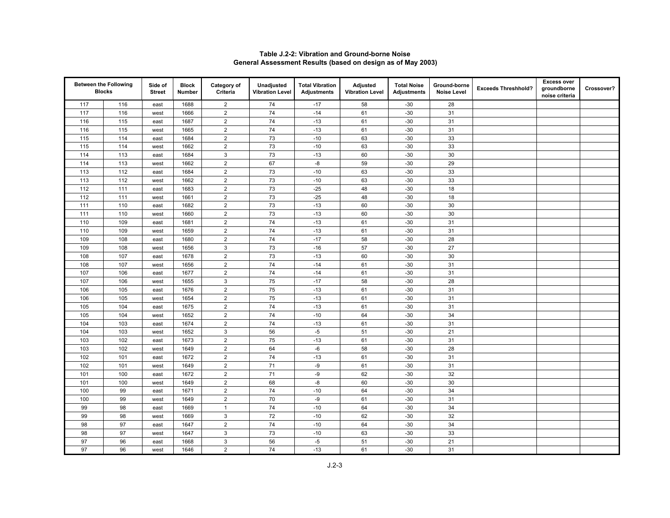|     | <b>Between the Following</b><br><b>Blocks</b> | Side of<br><b>Street</b> | <b>Block</b><br>Number | Category of<br>Criteria | Unadjusted<br><b>Vibration Level</b> | <b>Total Vibration</b><br><b>Adjustments</b> | Adjusted<br><b>Vibration Level</b> | <b>Total Noise</b><br><b>Adjustments</b> | Ground-borne<br><b>Noise Level</b> | <b>Exceeds Threshhold?</b> | <b>Excess over</b><br>groundborne<br>noise criteria | Crossover? |
|-----|-----------------------------------------------|--------------------------|------------------------|-------------------------|--------------------------------------|----------------------------------------------|------------------------------------|------------------------------------------|------------------------------------|----------------------------|-----------------------------------------------------|------------|
| 117 | 116                                           | east                     | 1688                   | $\overline{2}$          | 74                                   | $-17$                                        | 58                                 | $-30$                                    | 28                                 |                            |                                                     |            |
| 117 | 116                                           | west                     | 1666                   | $\overline{2}$          | 74                                   | $-14$                                        | 61                                 | $-30$                                    | 31                                 |                            |                                                     |            |
| 116 | 115                                           | east                     | 1687                   | $\overline{2}$          | 74                                   | $-13$                                        | 61                                 | $-30$                                    | 31                                 |                            |                                                     |            |
| 116 | 115                                           | west                     | 1665                   | $\sqrt{2}$              | 74                                   | $-13$                                        | 61                                 | $-30$                                    | 31                                 |                            |                                                     |            |
| 115 | 114                                           | east                     | 1684                   | $\overline{2}$          | 73                                   | $-10$                                        | 63                                 | $-30$                                    | 33                                 |                            |                                                     |            |
| 115 | 114                                           | west                     | 1662                   | $\mathbf 2$             | 73                                   | $-10$                                        | 63                                 | $-30$                                    | 33                                 |                            |                                                     |            |
| 114 | 113                                           | east                     | 1684                   | $\sqrt{3}$              | 73                                   | $-13$                                        | 60                                 | $-30$                                    | 30                                 |                            |                                                     |            |
| 114 | 113                                           | west                     | 1662                   | $\overline{2}$          | 67                                   | -8                                           | 59                                 | $-30$                                    | 29                                 |                            |                                                     |            |
| 113 | 112                                           | east                     | 1684                   | $\overline{2}$          | 73                                   | $-10$                                        | 63                                 | $-30$                                    | 33                                 |                            |                                                     |            |
| 113 | 112                                           | west                     | 1662                   | $\sqrt{2}$              | $73\,$                               | $-10$                                        | 63                                 | $-30$                                    | 33                                 |                            |                                                     |            |
| 112 | 111                                           | east                     | 1683                   | $\overline{2}$          | 73                                   | $-25$                                        | 48                                 | $-30$                                    | 18                                 |                            |                                                     |            |
| 112 | 111                                           | west                     | 1661                   | $\mathbf 2$             | 73                                   | $-25$                                        | 48                                 | $-30$                                    | 18                                 |                            |                                                     |            |
| 111 | 110                                           | east                     | 1682                   | $\overline{2}$          | 73                                   | $-13$                                        | 60                                 | $-30$                                    | 30                                 |                            |                                                     |            |
| 111 | 110                                           | west                     | 1660                   | $\overline{2}$          | 73                                   | $-13$                                        | 60                                 | $-30$                                    | 30                                 |                            |                                                     |            |
| 110 | 109                                           | east                     | 1681                   | $\overline{2}$          | 74                                   | $-13$                                        | 61                                 | $-30$                                    | 31                                 |                            |                                                     |            |
| 110 | 109                                           | west                     | 1659                   | $\overline{2}$          | 74                                   | $-13$                                        | 61                                 | $-30$                                    | 31                                 |                            |                                                     |            |
| 109 | 108                                           | east                     | 1680                   | $\overline{2}$          | 74                                   | $-17$                                        | 58                                 | $-30$                                    | 28                                 |                            |                                                     |            |
| 109 | 108                                           | west                     | 1656                   | $\mathsf 3$             | 73                                   | $-16$                                        | 57                                 | $-30$                                    | 27                                 |                            |                                                     |            |
| 108 | 107                                           | east                     | 1678                   | $\overline{2}$          | 73                                   | $-13$                                        | 60                                 | $-30$                                    | 30                                 |                            |                                                     |            |
| 108 | 107                                           | west                     | 1656                   | $\sqrt{2}$              | 74                                   | $-14$                                        | 61                                 | $-30$                                    | 31                                 |                            |                                                     |            |
| 107 | 106                                           | east                     | 1677                   | $\mathbf 2$             | 74                                   | $-14$                                        | 61                                 | $-30$                                    | 31                                 |                            |                                                     |            |
| 107 | 106                                           | west                     | 1655                   | 3                       | 75                                   | $-17$                                        | 58                                 | $-30$                                    | 28                                 |                            |                                                     |            |
| 106 | 105                                           | east                     | 1676                   | $\overline{2}$          | 75                                   | $-13$                                        | 61                                 | $-30$                                    | 31                                 |                            |                                                     |            |
| 106 | 105                                           | west                     | 1654                   | $\overline{2}$          | 75                                   | $-13$                                        | 61                                 | $-30$                                    | 31                                 |                            |                                                     |            |
| 105 | 104                                           | east                     | 1675                   | $\overline{2}$          | 74                                   | $-13$                                        | 61                                 | $-30$                                    | 31                                 |                            |                                                     |            |
| 105 | 104                                           | west                     | 1652                   | $\overline{2}$          | 74                                   | $-10$                                        | 64                                 | $-30$                                    | 34                                 |                            |                                                     |            |
| 104 | 103                                           | east                     | 1674                   | $\overline{2}$          | 74                                   | $-13$                                        | 61                                 | $-30$                                    | 31                                 |                            |                                                     |            |
| 104 | 103                                           | west                     | 1652                   | $\mathbf{3}$            | 56                                   | $-5$                                         | 51                                 | $-30$                                    | 21                                 |                            |                                                     |            |
| 103 | 102                                           | east                     | 1673                   | $\overline{2}$          | 75                                   | $-13$                                        | 61                                 | $-30$                                    | 31                                 |                            |                                                     |            |
| 103 | 102                                           | west                     | 1649                   | $\overline{2}$          | 64                                   | $-6$                                         | 58                                 | $-30$                                    | 28                                 |                            |                                                     |            |
| 102 | 101                                           | east                     | 1672                   | $\overline{2}$          | 74                                   | $-13$                                        | 61                                 | $-30$                                    | 31                                 |                            |                                                     |            |
| 102 | 101                                           | west                     | 1649                   | $\overline{2}$          | 71                                   | -9                                           | 61                                 | $-30$                                    | 31                                 |                            |                                                     |            |
| 101 | 100                                           | east                     | 1672                   | $\overline{2}$          | 71                                   | -9                                           | 62                                 | $-30$                                    | 32                                 |                            |                                                     |            |
| 101 | 100                                           | west                     | 1649                   | $\mathbf 2$             | 68                                   | $\mbox{-}8$                                  | 60                                 | $-30$                                    | 30                                 |                            |                                                     |            |
| 100 | 99                                            | east                     | 1671                   | $\overline{2}$          | 74                                   | $-10$                                        | 64                                 | $-30$                                    | 34                                 |                            |                                                     |            |
| 100 | 99                                            | west                     | 1649                   | $\overline{2}$          | 70                                   | -9                                           | 61                                 | $-30$                                    | 31                                 |                            |                                                     |            |
| 99  | 98                                            | east                     | 1669                   | $\overline{1}$          | 74                                   | $-10$                                        | 64                                 | $-30$                                    | 34                                 |                            |                                                     |            |
| 99  | 98                                            | west                     | 1669                   | $\mathsf 3$             | 72                                   | $-10$                                        | 62                                 | $-30$                                    | 32                                 |                            |                                                     |            |
| 98  | 97                                            | east                     | 1647                   | $\overline{2}$          | 74                                   | $-10$                                        | 64                                 | $-30$                                    | 34                                 |                            |                                                     |            |
| 98  | 97                                            | west                     | 1647                   | $\mathbf{3}$            | 73                                   | $-10$                                        | 63                                 | $-30$                                    | 33                                 |                            |                                                     |            |
| 97  | 96                                            | east                     | 1668                   | $\mathsf 3$             | 56                                   | $-5$                                         | 51                                 | $-30$                                    | 21                                 |                            |                                                     |            |
| 97  | 96                                            | west                     | 1646                   | $\overline{2}$          | 74                                   | $-13$                                        | 61                                 | $-30$                                    | 31                                 |                            |                                                     |            |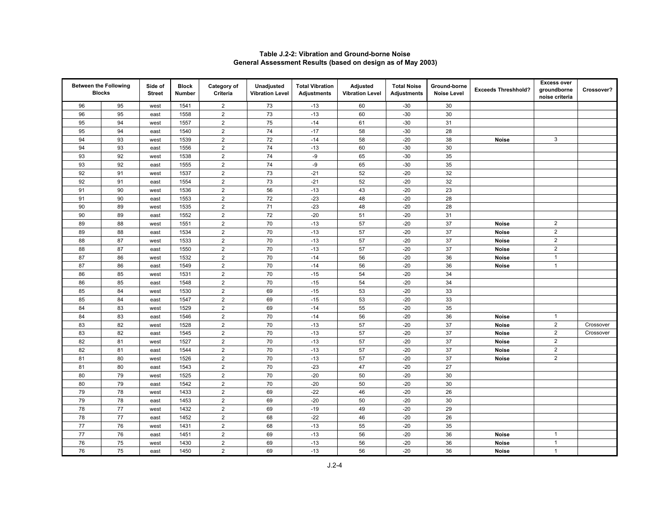|    | <b>Between the Following</b><br><b>Blocks</b> | Side of<br><b>Street</b> | <b>Block</b><br>Number | Category of<br>Criteria | <b>Unadjusted</b><br><b>Vibration Level</b> | <b>Total Vibration</b><br><b>Adjustments</b> | Adjusted<br><b>Vibration Level</b> | <b>Total Noise</b><br><b>Adjustments</b> | Ground-borne<br><b>Noise Level</b> | <b>Exceeds Threshhold?</b> | <b>Excess over</b><br>groundborne<br>noise criteria | Crossover? |
|----|-----------------------------------------------|--------------------------|------------------------|-------------------------|---------------------------------------------|----------------------------------------------|------------------------------------|------------------------------------------|------------------------------------|----------------------------|-----------------------------------------------------|------------|
| 96 | 95                                            | west                     | 1541                   | $\overline{2}$          | 73                                          | $-13$                                        | 60                                 | $-30$                                    | 30                                 |                            |                                                     |            |
| 96 | 95                                            | east                     | 1558                   | $\overline{2}$          | 73                                          | $-13$                                        | 60                                 | $-30$                                    | 30                                 |                            |                                                     |            |
| 95 | 94                                            | west                     | 1557                   | $\overline{2}$          | 75                                          | $-14$                                        | 61                                 | $-30$                                    | 31                                 |                            |                                                     |            |
| 95 | 94                                            | east                     | 1540                   | $\boldsymbol{2}$        | 74                                          | $-17$                                        | 58                                 | $-30$                                    | 28                                 |                            |                                                     |            |
| 94 | 93                                            | west                     | 1539                   | $\overline{2}$          | 72                                          | $-14$                                        | 58                                 | $-20$                                    | 38                                 | <b>Noise</b>               | 3                                                   |            |
| 94 | 93                                            | east                     | 1556                   | $\overline{2}$          | 74                                          | $-13$                                        | 60                                 | $-30$                                    | 30                                 |                            |                                                     |            |
| 93 | 92                                            | west                     | 1538                   | $\boldsymbol{2}$        | 74                                          | $-9$                                         | 65                                 | $-30$                                    | 35                                 |                            |                                                     |            |
| 93 | 92                                            | east                     | 1555                   | $\overline{2}$          | 74                                          | -9                                           | 65                                 | $-30$                                    | 35                                 |                            |                                                     |            |
| 92 | 91                                            | west                     | 1537                   | $\overline{2}$          | 73                                          | $-21$                                        | 52                                 | $-20$                                    | 32                                 |                            |                                                     |            |
| 92 | 91                                            | east                     | 1554                   | $\boldsymbol{2}$        | 73                                          | $-21$                                        | 52                                 | $-20$                                    | 32                                 |                            |                                                     |            |
| 91 | 90                                            | west                     | 1536                   | $\sqrt{2}$              | 56                                          | $-13$                                        | 43                                 | $-20$                                    | 23                                 |                            |                                                     |            |
| 91 | 90                                            | east                     | 1553                   | $\overline{2}$          | 72                                          | $-23$                                        | 48                                 | $-20$                                    | 28                                 |                            |                                                     |            |
| 90 | 89                                            | west                     | 1535                   | $\boldsymbol{2}$        | 71                                          | $-23$                                        | 48                                 | $-20$                                    | 28                                 |                            |                                                     |            |
| 90 | 89                                            | east                     | 1552                   | $\sqrt{2}$              | 72                                          | $-20$                                        | 51                                 | $-20$                                    | 31                                 |                            |                                                     |            |
| 89 | 88                                            | west                     | 1551                   | $\overline{2}$          | 70                                          | $-13$                                        | 57                                 | $-20$                                    | 37                                 | <b>Noise</b>               | $\overline{2}$                                      |            |
| 89 | 88                                            | east                     | 1534                   | $\overline{2}$          | 70                                          | $-13$                                        | 57                                 | $-20$                                    | 37                                 | <b>Noise</b>               | $\overline{2}$                                      |            |
| 88 | 87                                            | west                     | 1533                   | $\sqrt{2}$              | 70                                          | $-13$                                        | 57                                 | $-20$                                    | 37                                 | <b>Noise</b>               | $\overline{2}$                                      |            |
| 88 | 87                                            | east                     | 1550                   | $\mathbf 2$             | 70                                          | $-13$                                        | 57                                 | $-20$                                    | 37                                 | <b>Noise</b>               | $\overline{2}$                                      |            |
| 87 | 86                                            | west                     | 1532                   | $\overline{2}$          | 70                                          | $-14$                                        | 56                                 | $-20$                                    | 36                                 | <b>Noise</b>               | $\mathbf{1}$                                        |            |
| 87 | 86                                            | east                     | 1549                   | $\sqrt{2}$              | 70                                          | $-14$                                        | 56                                 | $-20$                                    | 36                                 | <b>Noise</b>               | $\mathbf{1}$                                        |            |
| 86 | 85                                            | west                     | 1531                   | $\sqrt{2}$              | 70                                          | $-15$                                        | 54                                 | $-20$                                    | 34                                 |                            |                                                     |            |
| 86 | 85                                            | east                     | 1548                   | $\overline{2}$          | 70                                          | $-15$                                        | 54                                 | $-20$                                    | 34                                 |                            |                                                     |            |
| 85 | 84                                            | west                     | 1530                   | $\overline{2}$          | 69                                          | $-15$                                        | 53                                 | $-20$                                    | 33                                 |                            |                                                     |            |
| 85 | 84                                            | east                     | 1547                   | $\overline{2}$          | 69                                          | $-15$                                        | 53                                 | $-20$                                    | 33                                 |                            |                                                     |            |
| 84 | 83                                            | west                     | 1529                   | $\overline{2}$          | 69                                          | $-14$                                        | 55                                 | $-20$                                    | 35                                 |                            |                                                     |            |
| 84 | 83                                            | east                     | 1546                   | $\overline{2}$          | 70                                          | $-14$                                        | 56                                 | $-20$                                    | 36                                 | <b>Noise</b>               | $\mathbf{1}$                                        |            |
| 83 | 82                                            | west                     | 1528                   | $\overline{2}$          | $70\,$                                      | $-13$                                        | 57                                 | $-20$                                    | 37                                 | <b>Noise</b>               | $\overline{2}$                                      | Crossover  |
| 83 | 82                                            | east                     | 1545                   | $\mathbf 2$             | 70                                          | $-13$                                        | 57                                 | $-20$                                    | 37                                 | <b>Noise</b>               | $\overline{2}$                                      | Crossover  |
| 82 | 81                                            | west                     | 1527                   | $\sqrt{2}$              | 70                                          | $-13$                                        | 57                                 | $-20$                                    | 37                                 | <b>Noise</b>               | $\overline{2}$                                      |            |
| 82 | 81                                            | east                     | 1544                   | $\overline{2}$          | 70                                          | $-13$                                        | 57                                 | $-20$                                    | 37                                 | <b>Noise</b>               | $\overline{2}$                                      |            |
| 81 | 80                                            | west                     | 1526                   | $\overline{2}$          | 70                                          | $-13$                                        | 57                                 | $-20$                                    | 37                                 | <b>Noise</b>               | $\overline{2}$                                      |            |
| 81 | 80                                            | east                     | 1543                   | $\boldsymbol{2}$        | 70                                          | $-23$                                        | 47                                 | $-20$                                    | 27                                 |                            |                                                     |            |
| 80 | 79                                            | west                     | 1525                   | $\overline{2}$          | 70                                          | $-20$                                        | 50                                 | $-20$                                    | 30                                 |                            |                                                     |            |
| 80 | 79                                            | east                     | 1542                   | $\overline{2}$          | $70\,$                                      | $-20$                                        | 50                                 | $-20$                                    | 30                                 |                            |                                                     |            |
| 79 | 78                                            | west                     | 1433                   | $\boldsymbol{2}$        | 69                                          | $-22$                                        | 46                                 | $-20$                                    | 26                                 |                            |                                                     |            |
| 79 | 78                                            | east                     | 1453                   | $\overline{2}$          | 69                                          | $-20$                                        | 50                                 | $-20$                                    | 30                                 |                            |                                                     |            |
| 78 | 77                                            | west                     | 1432                   | $\overline{2}$          | 69                                          | $-19$                                        | 49                                 | $-20$                                    | 29                                 |                            |                                                     |            |
| 78 | 77                                            | east                     | 1452                   | $\boldsymbol{2}$        | 68                                          | $-22$                                        | 46                                 | $-20$                                    | 26                                 |                            |                                                     |            |
| 77 | 76                                            | west                     | 1431                   | $\overline{2}$          | 68                                          | $-13$                                        | 55                                 | $-20$                                    | 35                                 |                            |                                                     |            |
| 77 | 76                                            | east                     | 1451                   | $\overline{2}$          | 69                                          | $-13$                                        | 56                                 | $-20$                                    | 36                                 | <b>Noise</b>               | $\mathbf{1}$                                        |            |
| 76 | 75                                            | west                     | 1430                   | $\mathbf 2$             | 69                                          | $-13$                                        | 56                                 | $-20$                                    | 36                                 | <b>Noise</b>               | $\mathbf{1}$                                        |            |
| 76 | 75                                            | east                     | 1450                   | $\overline{2}$          | 69                                          | $-13$                                        | 56                                 | $-20$                                    | 36                                 | <b>Noise</b>               | $\mathbf{1}$                                        |            |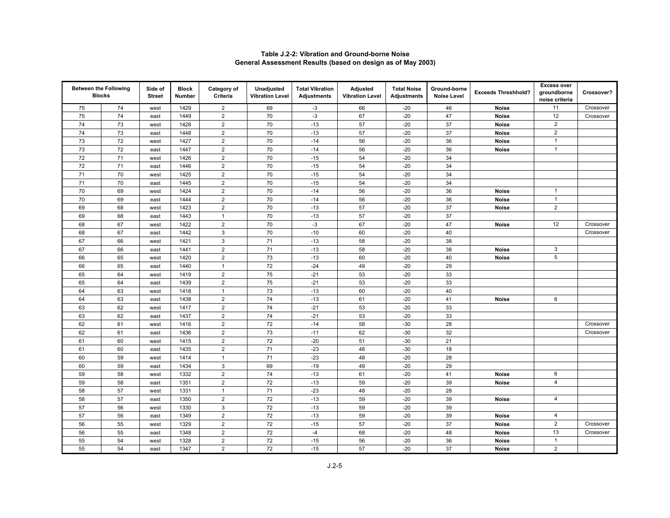|    | <b>Between the Following</b><br><b>Blocks</b> | Side of<br><b>Street</b> | <b>Block</b><br>Number | Category of<br>Criteria | Unadjusted<br><b>Vibration Level</b> | <b>Total Vibration</b><br><b>Adjustments</b> | <b>Adjusted</b><br><b>Vibration Level</b> | <b>Total Noise</b><br><b>Adjustments</b> | Ground-borne<br><b>Noise Level</b> | <b>Exceeds Threshhold?</b> | <b>Excess over</b><br>groundborne | Crossover? |
|----|-----------------------------------------------|--------------------------|------------------------|-------------------------|--------------------------------------|----------------------------------------------|-------------------------------------------|------------------------------------------|------------------------------------|----------------------------|-----------------------------------|------------|
| 75 | 74                                            | west                     | 1429                   | $\overline{2}$          | 69                                   | $-3$                                         | 66                                        | $-20$                                    | 46                                 | <b>Noise</b>               | noise criteria<br>11              | Crossover  |
| 75 | 74                                            | east                     | 1449                   | $\overline{2}$          | 70                                   | $-3$                                         | 67                                        | $-20$                                    | 47                                 | <b>Noise</b>               | 12                                | Crossover  |
| 74 | 73                                            | west                     | 1428                   | $\mathbf 2$             | 70                                   | $-13$                                        | 57                                        | $-20$                                    | 37                                 | <b>Noise</b>               | $\overline{2}$                    |            |
| 74 | 73                                            | east                     | 1448                   | $\overline{2}$          | 70                                   | $-13$                                        | 57                                        | $-20$                                    | 37                                 | <b>Noise</b>               | $\overline{2}$                    |            |
| 73 | 72                                            | west                     | 1427                   | $\sqrt{2}$              | 70                                   | $-14$                                        | 56                                        | $-20$                                    | $36\,$                             | Noise                      | $\mathbf{1}$                      |            |
| 73 | 72                                            | east                     | 1447                   | $\overline{2}$          | 70                                   | $-14$                                        | 56                                        | $-20$                                    | 36                                 | <b>Noise</b>               | $\mathbf{1}$                      |            |
| 72 | $71$                                          | west                     | 1426                   | $\mathbf 2$             | 70                                   | $-15$                                        | 54                                        | $-20$                                    | 34                                 |                            |                                   |            |
| 72 | $71$                                          | east                     | 1446                   | $\overline{2}$          | 70                                   | $-15$                                        | 54                                        | $-20$                                    | 34                                 |                            |                                   |            |
| 71 | 70                                            | west                     | 1425                   | $\mathbf 2$             | 70                                   | $-15$                                        | 54                                        | $-20$                                    | 34                                 |                            |                                   |            |
| 71 | 70                                            | east                     | 1445                   | $\overline{2}$          | 70                                   | $-15$                                        | 54                                        | $-20$                                    | 34                                 |                            |                                   |            |
| 70 | 69                                            | west                     | 1424                   | $\sqrt{2}$              | 70                                   | $-14$                                        | 56                                        | $-20$                                    | 36                                 | <b>Noise</b>               | $\mathbf{1}$                      |            |
| 70 | 69                                            | east                     | 1444                   | $\overline{2}$          | 70                                   | $-14$                                        | 56                                        | $-20$                                    | 36                                 | <b>Noise</b>               | $\mathbf{1}$                      |            |
| 69 | 68                                            | west                     | 1423                   | $\overline{2}$          | 70                                   | $-13$                                        | 57                                        | $-20$                                    | 37                                 | Noise                      | $\overline{2}$                    |            |
| 69 | 68                                            | east                     | 1443                   | $\mathbf{1}$            | 70                                   | $-13$                                        | 57                                        | $-20$                                    | 37                                 |                            |                                   |            |
| 68 | 67                                            | west                     | 1422                   | $\overline{2}$          | 70                                   | $-3$                                         | 67                                        | $-20$                                    | 47                                 | <b>Noise</b>               | 12                                | Crossover  |
| 68 | 67                                            | east                     | 1442                   | $\mathbf{3}$            | 70                                   | $-10$                                        | 60                                        | $-20$                                    | 40                                 |                            |                                   | Crossover  |
| 67 | 66                                            | west                     | 1421                   | 3                       | 71                                   | $-13$                                        | 58                                        | $-20$                                    | 38                                 |                            |                                   |            |
| 67 | 66                                            | east                     | 1441                   | $\mathbf 2$             | 71                                   | $-13$                                        | 58                                        | $-20$                                    | 38                                 | <b>Noise</b>               | $\mathbf{3}$                      |            |
| 66 | 65                                            | west                     | 1420                   | $\overline{2}$          | 73                                   | $-13$                                        | 60                                        | $-20$                                    | 40                                 | <b>Noise</b>               | 5                                 |            |
| 66 | 65                                            | east                     | 1440                   | $\mathbf{1}$            | 72                                   | $-24$                                        | 49                                        | $-20$                                    | 29                                 |                            |                                   |            |
| 65 | 64                                            | west                     | 1419                   | $\overline{2}$          | 75                                   | $-21$                                        | 53                                        | $-20$                                    | 33                                 |                            |                                   |            |
| 65 | 64                                            | east                     | 1439                   | $\overline{2}$          | 75                                   | $-21$                                        | 53                                        | $-20$                                    | 33                                 |                            |                                   |            |
| 64 | 63                                            | west                     | 1418                   | $\mathbf{1}$            | 73                                   | $-13$                                        | 60                                        | $-20$                                    | 40                                 |                            |                                   |            |
| 64 | 63                                            | east                     | 1438                   | $\sqrt{2}$              | 74                                   | $-13$                                        | 61                                        | $-20$                                    | 41                                 | <b>Noise</b>               | 6                                 |            |
| 63 | 62                                            | west                     | 1417                   | $\overline{2}$          | 74                                   | $-21$                                        | 53                                        | $-20$                                    | 33                                 |                            |                                   |            |
| 63 | 62                                            | east                     | 1437                   | $\sqrt{2}$              | 74                                   | $-21$                                        | 53                                        | $-20$                                    | 33                                 |                            |                                   |            |
| 62 | 61                                            | west                     | 1416                   | $\overline{2}$          | 72                                   | $-14$                                        | 58                                        | $-30$                                    | 28                                 |                            |                                   | Crossover  |
| 62 | 61                                            | east                     | 1436                   | $\overline{2}$          | 73                                   | $-11$                                        | 62                                        | $-30$                                    | 32                                 |                            |                                   | Crossover  |
| 61 | 60                                            | west                     | 1415                   | $\overline{2}$          | 72                                   | $-20$                                        | 51                                        | $-30$                                    | 21                                 |                            |                                   |            |
| 61 | 60                                            | east                     | 1435                   | $\mathbf 2$             | 71                                   | $-23$                                        | 48                                        | $-30$                                    | 18                                 |                            |                                   |            |
| 60 | 59                                            | west                     | 1414                   | $\mathbf{1}$            | 71                                   | $-23$                                        | 48                                        | $-20$                                    | 28                                 |                            |                                   |            |
| 60 | 59                                            | east                     | 1434                   | $\mathbf{3}$            | 69                                   | $-19$                                        | 49                                        | $-20$                                    | 29                                 |                            |                                   |            |
| 59 | 58                                            | west                     | 1332                   | $\overline{2}$          | 74                                   | $-13$                                        | 61                                        | $-20$                                    | 41                                 | <b>Noise</b>               | 6                                 |            |
| 59 | 58                                            | east                     | 1351                   | $\overline{2}$          | 72                                   | $-13$                                        | 59                                        | $-20$                                    | 39                                 | <b>Noise</b>               | $\overline{4}$                    |            |
| 58 | 57                                            | west                     | 1331                   | $\mathbf{1}$            | 71                                   | $-23$                                        | 48                                        | $-20$                                    | 28                                 |                            |                                   |            |
| 58 | 57                                            | east                     | 1350                   | $\mathbf 2$             | 72                                   | $-13$                                        | 59                                        | $-20$                                    | 39                                 | <b>Noise</b>               | $\overline{4}$                    |            |
| 57 | 56                                            | west                     | 1330                   | $\mathbf{3}$            | 72                                   | $-13$                                        | 59                                        | $-20$                                    | 39                                 |                            |                                   |            |
| 57 | 56                                            | east                     | 1349                   | $\overline{2}$          | 72                                   | $-13$                                        | 59                                        | $-20$                                    | 39                                 | <b>Noise</b>               | 4                                 |            |
| 56 | 55                                            | west                     | 1329                   | $\overline{2}$          | 72                                   | $-15$                                        | 57                                        | $-20$                                    | 37                                 | <b>Noise</b>               | $\overline{2}$                    | Crossover  |
| 56 | 55                                            | east                     | 1348                   | $\sqrt{2}$              | 72                                   | $-4$                                         | 68                                        | $-20$                                    | 48                                 | Noise                      | 13                                | Crossover  |
| 55 | 54                                            | west                     | 1328                   | $\overline{2}$          | 72                                   | $-15$                                        | 56                                        | $-20$                                    | 36                                 | <b>Noise</b>               | $\mathbf{1}$                      |            |
| 55 | 54                                            | east                     | 1347                   | $\overline{2}$          | 72                                   | $-15$                                        | 57                                        | $-20$                                    | 37                                 | <b>Noise</b>               | $\overline{2}$                    |            |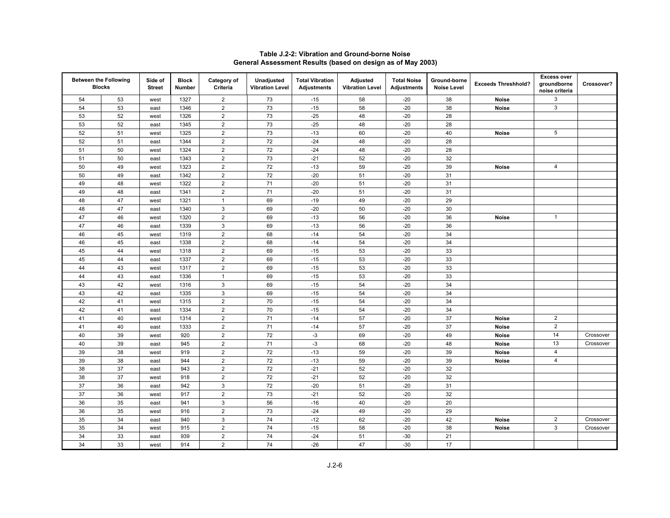|    | <b>Between the Following</b><br><b>Blocks</b> | Side of<br><b>Street</b> | <b>Block</b><br>Number | Category of<br>Criteria | Unadjusted<br><b>Vibration Level</b> | <b>Total Vibration</b><br><b>Adjustments</b> | <b>Adjusted</b><br><b>Vibration Level</b> | <b>Total Noise</b><br><b>Adjustments</b> | Ground-borne<br><b>Noise Level</b> | <b>Exceeds Threshhold?</b> | <b>Excess over</b><br>groundborne<br>noise criteria | Crossover? |
|----|-----------------------------------------------|--------------------------|------------------------|-------------------------|--------------------------------------|----------------------------------------------|-------------------------------------------|------------------------------------------|------------------------------------|----------------------------|-----------------------------------------------------|------------|
| 54 | 53                                            | west                     | 1327                   | $\boldsymbol{2}$        | 73                                   | $-15$                                        | 58                                        | $-20$                                    | 38                                 | Noise                      | 3                                                   |            |
| 54 | 53                                            | east                     | 1346                   | $\overline{2}$          | 73                                   | $-15$                                        | 58                                        | $-20$                                    | 38                                 | <b>Noise</b>               | 3                                                   |            |
| 53 | 52                                            | west                     | 1326                   | $\overline{2}$          | 73                                   | $-25$                                        | 48                                        | $-20$                                    | 28                                 |                            |                                                     |            |
| 53 | 52                                            | east                     | 1345                   | $\mathbf 2$             | 73                                   | $-25$                                        | 48                                        | $-20$                                    | 28                                 |                            |                                                     |            |
| 52 | 51                                            | west                     | 1325                   | $\sqrt{2}$              | 73                                   | $-13$                                        | 60                                        | $-20$                                    | 40                                 | <b>Noise</b>               | 5                                                   |            |
| 52 | 51                                            | east                     | 1344                   | $\overline{2}$          | 72                                   | $-24$                                        | 48                                        | $-20$                                    | 28                                 |                            |                                                     |            |
| 51 | 50                                            | west                     | 1324                   | $\overline{2}$          | 72                                   | $-24$                                        | 48                                        | $-20$                                    | 28                                 |                            |                                                     |            |
| 51 | 50                                            | east                     | 1343                   | $\overline{2}$          | 73                                   | $-21$                                        | 52                                        | $-20$                                    | 32                                 |                            |                                                     |            |
| 50 | 49                                            | west                     | 1323                   | $\overline{2}$          | 72                                   | $-13$                                        | 59                                        | $-20$                                    | 39                                 | <b>Noise</b>               | 4                                                   |            |
| 50 | 49                                            | east                     | 1342                   | $\boldsymbol{2}$        | 72                                   | $-20$                                        | 51                                        | $-20$                                    | 31                                 |                            |                                                     |            |
| 49 | 48                                            | west                     | 1322                   | $\overline{2}$          | 71                                   | $-20$                                        | 51                                        | $-20$                                    | 31                                 |                            |                                                     |            |
| 49 | 48                                            | east                     | 1341                   | $\overline{2}$          | 71                                   | $-20$                                        | 51                                        | $-20$                                    | 31                                 |                            |                                                     |            |
| 48 | 47                                            | west                     | 1321                   | $\mathbf{1}$            | 69                                   | $-19$                                        | 49                                        | $-20$                                    | 29                                 |                            |                                                     |            |
| 48 | 47                                            | east                     | 1340                   | $\mathsf 3$             | 69                                   | $-20$                                        | 50                                        | $-20$                                    | 30                                 |                            |                                                     |            |
| 47 | 46                                            | west                     | 1320                   | $\mathbf 2$             | 69                                   | $-13$                                        | 56                                        | $-20$                                    | 36                                 | <b>Noise</b>               | $\mathbf{1}$                                        |            |
| 47 | 46                                            | east                     | 1339                   | 3                       | 69                                   | $-13$                                        | 56                                        | $-20$                                    | 36                                 |                            |                                                     |            |
| 46 | 45                                            | west                     | 1319                   | $\overline{2}$          | 68                                   | $-14$                                        | 54                                        | $-20$                                    | 34                                 |                            |                                                     |            |
| 46 | 45                                            | east                     | 1338                   | $\mathbf 2$             | 68                                   | $-14$                                        | 54                                        | $-20$                                    | 34                                 |                            |                                                     |            |
| 45 | 44                                            | west                     | 1318                   | $\overline{2}$          | 69                                   | $-15$                                        | 53                                        | $-20$                                    | 33                                 |                            |                                                     |            |
| 45 | 44                                            | east                     | 1337                   | $\overline{2}$          | 69                                   | $-15$                                        | 53                                        | $-20$                                    | 33                                 |                            |                                                     |            |
| 44 | 43                                            | west                     | 1317                   | $\overline{2}$          | 69                                   | $-15$                                        | 53                                        | $-20$                                    | 33                                 |                            |                                                     |            |
| 44 | 43                                            | east                     | 1336                   | $\mathbf{1}$            | 69                                   | $-15$                                        | 53                                        | $-20$                                    | 33                                 |                            |                                                     |            |
| 43 | 42                                            | west                     | 1316                   | 3                       | 69                                   | $-15$                                        | 54                                        | $-20$                                    | 34                                 |                            |                                                     |            |
| 43 | 42                                            | east                     | 1335                   | $\mathsf 3$             | 69                                   | $-15$                                        | 54                                        | $-20$                                    | 34                                 |                            |                                                     |            |
| 42 | 41                                            | west                     | 1315                   | $\overline{2}$          | 70                                   | $-15$                                        | 54                                        | $-20$                                    | 34                                 |                            |                                                     |            |
| 42 | 41                                            | east                     | 1334                   | $\overline{2}$          | 70                                   | $-15$                                        | 54                                        | $-20$                                    | 34                                 |                            |                                                     |            |
| 41 | 40                                            | west                     | 1314                   | $\overline{2}$          | 71                                   | $-14$                                        | 57                                        | $-20$                                    | 37                                 | Noise                      | $\overline{2}$                                      |            |
| 41 | 40                                            | east                     | 1333                   | $\mathbf 2$             | 71                                   | $-14$                                        | 57                                        | $-20$                                    | 37                                 | Noise                      | $\mathbf 2$                                         |            |
| 40 | 39                                            | west                     | 920                    | $\overline{2}$          | 72                                   | $-3$                                         | 69                                        | $-20$                                    | 49                                 | <b>Noise</b>               | 14                                                  | Crossover  |
| 40 | 39                                            | east                     | 945                    | $\overline{2}$          | 71                                   | $-3$                                         | 68                                        | $-20$                                    | 48                                 | <b>Noise</b>               | 13                                                  | Crossover  |
| 39 | 38                                            | west                     | 919                    | $\overline{2}$          | 72                                   | $-13$                                        | 59                                        | $-20$                                    | 39                                 | <b>Noise</b>               | $\overline{4}$                                      |            |
| 39 | 38                                            | east                     | 944                    | $\boldsymbol{2}$        | 72                                   | $-13$                                        | 59                                        | $-20$                                    | 39                                 | <b>Noise</b>               | $\overline{4}$                                      |            |
| 38 | 37                                            | east                     | 943                    | $\overline{2}$          | 72                                   | $-21$                                        | 52                                        | $-20$                                    | 32                                 |                            |                                                     |            |
| 38 | 37                                            | west                     | 918                    | $\overline{2}$          | 72                                   | $-21$                                        | 52                                        | $-20$                                    | 32                                 |                            |                                                     |            |
| 37 | 36                                            | east                     | 942                    | $\mathsf 3$             | 72                                   | $-20$                                        | 51                                        | $-20$                                    | 31                                 |                            |                                                     |            |
| 37 | 36                                            | west                     | 917                    | $\overline{2}$          | 73                                   | $-21$                                        | 52                                        | $-20$                                    | 32                                 |                            |                                                     |            |
| 36 | 35                                            | east                     | 941                    | 3                       | 56                                   | $-16$                                        | 40                                        | $-20$                                    | 20                                 |                            |                                                     |            |
| 36 | 35                                            | west                     | 916                    | $\overline{2}$          | 73                                   | $-24$                                        | 49                                        | $-20$                                    | 29                                 |                            |                                                     |            |
| 35 | 34                                            | east                     | 940                    | 3                       | 74                                   | $-12$                                        | 62                                        | $-20$                                    | 42                                 | <b>Noise</b>               | $\overline{2}$                                      | Crossover  |
| 35 | 34                                            | west                     | 915                    | $\overline{2}$          | 74                                   | $-15$                                        | 58                                        | $-20$                                    | 38                                 | <b>Noise</b>               | $\mathbf{3}$                                        | Crossover  |
| 34 | 33                                            | east                     | 939                    | $\boldsymbol{2}$        | 74                                   | $-24$                                        | 51                                        | $-30$                                    | 21                                 |                            |                                                     |            |
| 34 | 33                                            | west                     | 914                    | 2                       | 74                                   | $-26$                                        | 47                                        | $-30$                                    | 17                                 |                            |                                                     |            |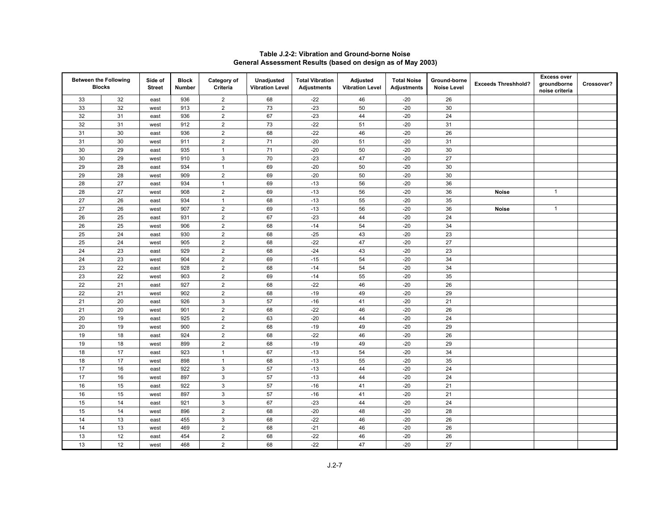| <b>Between the Following</b> | <b>Blocks</b> | Side of<br><b>Street</b> | <b>Block</b><br>Number | Category of<br>Criteria | Unadjusted<br><b>Vibration Level</b> | <b>Total Vibration</b><br><b>Adjustments</b> | Adjusted<br><b>Vibration Level</b> | <b>Total Noise</b><br><b>Adjustments</b> | Ground-borne<br><b>Noise Level</b> | <b>Exceeds Threshhold?</b> | <b>Excess over</b><br>groundborne<br>noise criteria | Crossover? |
|------------------------------|---------------|--------------------------|------------------------|-------------------------|--------------------------------------|----------------------------------------------|------------------------------------|------------------------------------------|------------------------------------|----------------------------|-----------------------------------------------------|------------|
| 33                           | 32            | east                     | 936                    | $\overline{2}$          | 68                                   | $-22$                                        | 46                                 | $-20$                                    | 26                                 |                            |                                                     |            |
| 33                           | 32            | west                     | 913                    | $\mathbf 2$             | 73                                   | $-23$                                        | 50                                 | $-20$                                    | 30                                 |                            |                                                     |            |
| 32                           | 31            | east                     | 936                    | $\overline{2}$          | 67                                   | $-23$                                        | 44                                 | $-20$                                    | 24                                 |                            |                                                     |            |
| 32                           | 31            | west                     | 912                    | $\mathbf 2$             | 73                                   | $-22$                                        | 51                                 | $-20$                                    | 31                                 |                            |                                                     |            |
| 31                           | 30            | east                     | 936                    | $\overline{2}$          | 68                                   | $-22$                                        | 46                                 | $-20$                                    | 26                                 |                            |                                                     |            |
| 31                           | 30            | west                     | 911                    | $\overline{2}$          | 71                                   | $-20$                                        | 51                                 | $-20$                                    | 31                                 |                            |                                                     |            |
| 30                           | 29            | east                     | 935                    | $\mathbf{1}$            | 71                                   | $-20$                                        | 50                                 | $-20$                                    | 30                                 |                            |                                                     |            |
| 30                           | 29            | west                     | 910                    | $\mathbf{3}$            | 70                                   | $-23$                                        | 47                                 | $-20$                                    | 27                                 |                            |                                                     |            |
| 29                           | 28            | east                     | 934                    | $\mathbf{1}$            | 69                                   | $-20$                                        | 50                                 | $-20$                                    | 30                                 |                            |                                                     |            |
| 29                           | 28            | west                     | 909                    | $\mathbf 2$             | 69                                   | $-20$                                        | 50                                 | $-20$                                    | 30                                 |                            |                                                     |            |
| 28                           | 27            | east                     | 934                    | $\mathbf{1}$            | 69                                   | $-13$                                        | 56                                 | $-20$                                    | 36                                 |                            |                                                     |            |
| 28                           | 27            | west                     | 908                    | $\mathbf 2$             | 69                                   | $-13$                                        | 56                                 | $-20$                                    | 36                                 | <b>Noise</b>               | $\mathbf{1}$                                        |            |
| 27                           | 26            | east                     | 934                    | $\mathbf{1}$            | 68                                   | $-13$                                        | 55                                 | $-20$                                    | 35                                 |                            |                                                     |            |
| 27                           | 26            | west                     | 907                    | $\mathbf 2$             | 69                                   | $-13$                                        | 56                                 | $-20$                                    | 36                                 | <b>Noise</b>               | $\mathbf{1}$                                        |            |
| 26                           | 25            | east                     | 931                    | $\overline{2}$          | 67                                   | $-23$                                        | 44                                 | $-20$                                    | 24                                 |                            |                                                     |            |
| 26                           | 25            | west                     | 906                    | $\overline{2}$          | 68                                   | $-14$                                        | 54                                 | $-20$                                    | 34                                 |                            |                                                     |            |
| 25                           | 24            | east                     | 930                    | $\mathbf 2$             | 68                                   | $-25$                                        | 43                                 | $-20$                                    | 23                                 |                            |                                                     |            |
| 25                           | 24            | west                     | 905                    | $\mathbf 2$             | 68                                   | $-22$                                        | 47                                 | $-20$                                    | 27                                 |                            |                                                     |            |
| 24                           | 23            | east                     | 929                    | $\mathbf 2$             | 68                                   | $-24$                                        | 43                                 | $-20$                                    | 23                                 |                            |                                                     |            |
| 24                           | 23            | west                     | 904                    | $\overline{2}$          | 69                                   | $-15$                                        | 54                                 | $-20$                                    | 34                                 |                            |                                                     |            |
| 23                           | 22            | east                     | 928                    | $\overline{2}$          | 68                                   | $-14$                                        | 54                                 | $-20$                                    | 34                                 |                            |                                                     |            |
| 23                           | 22            | west                     | 903                    | $\overline{2}$          | 69                                   | $-14$                                        | 55                                 | $-20$                                    | 35                                 |                            |                                                     |            |
| 22                           | 21            | east                     | 927                    | $\mathbf 2$             | 68                                   | $-22$                                        | 46                                 | $-20$                                    | 26                                 |                            |                                                     |            |
| 22                           | 21            | west                     | 902                    | $\mathbf 2$             | 68                                   | $-19$                                        | 49                                 | $-20$                                    | 29                                 |                            |                                                     |            |
| 21                           | 20            | east                     | 926                    | $\mathbf{3}$            | 57                                   | $-16$                                        | 41                                 | $-20$                                    | 21                                 |                            |                                                     |            |
| 21                           | 20            | west                     | 901                    | $\mathbf 2$             | 68                                   | $-22$                                        | 46                                 | $-20$                                    | 26                                 |                            |                                                     |            |
| 20                           | 19            | east                     | 925                    | $\mathbf 2$             | 63                                   | $-20$                                        | 44                                 | $-20$                                    | 24                                 |                            |                                                     |            |
| 20                           | 19            | west                     | 900                    | $\overline{2}$          | 68                                   | $-19$                                        | 49                                 | $-20$                                    | 29                                 |                            |                                                     |            |
| 19                           | 18            | east                     | 924                    | $\overline{2}$          | 68                                   | $-22$                                        | 46                                 | $-20$                                    | 26                                 |                            |                                                     |            |
| 19                           | 18            | west                     | 899                    | $\overline{2}$          | 68                                   | $-19$                                        | 49                                 | $-20$                                    | 29                                 |                            |                                                     |            |
| 18                           | 17            | east                     | 923                    | $\mathbf{1}$            | 67                                   | $-13$                                        | 54                                 | $-20$                                    | 34                                 |                            |                                                     |            |
| 18                           | 17            | west                     | 898                    | $\mathbf{1}$            | 68                                   | $-13$                                        | 55                                 | $-20$                                    | 35                                 |                            |                                                     |            |
| 17                           | 16            | east                     | 922                    | $\mathsf 3$             | 57                                   | $-13$                                        | 44                                 | $-20$                                    | 24                                 |                            |                                                     |            |
| 17                           | 16            | west                     | 897                    | 3                       | 57                                   | $-13$                                        | 44                                 | $-20$                                    | 24                                 |                            |                                                     |            |
| 16                           | 15            | east                     | 922                    | 3                       | 57                                   | $-16$                                        | 41                                 | $-20$                                    | 21                                 |                            |                                                     |            |
| 16                           | 15            | west                     | 897                    | $\mathbf{3}$            | 57                                   | $-16$                                        | 41                                 | $-20$                                    | 21                                 |                            |                                                     |            |
| 15                           | 14            | east                     | 921                    | 3                       | 67                                   | $-23$                                        | 44                                 | $-20$                                    | 24                                 |                            |                                                     |            |
| 15                           | 14            | west                     | 896                    | $\overline{2}$          | 68                                   | $-20$                                        | 48                                 | $-20$                                    | 28                                 |                            |                                                     |            |
| 14                           | 13            | east                     | 455                    | $\mathsf 3$             | 68                                   | $-22$                                        | 46                                 | $-20$                                    | 26                                 |                            |                                                     |            |
| 14                           | 13            | west                     | 469                    | $\mathbf 2$             | 68                                   | $-21$                                        | 46                                 | $-20$                                    | 26                                 |                            |                                                     |            |
| 13                           | 12            | east                     | 454                    | $\mathbf 2$             | 68                                   | $-22$                                        | 46                                 | $-20$                                    | 26                                 |                            |                                                     |            |
| 13                           | 12            | west                     | 468                    | $\overline{2}$          | 68                                   | $-22$                                        | 47                                 | $-20$                                    | 27                                 |                            |                                                     |            |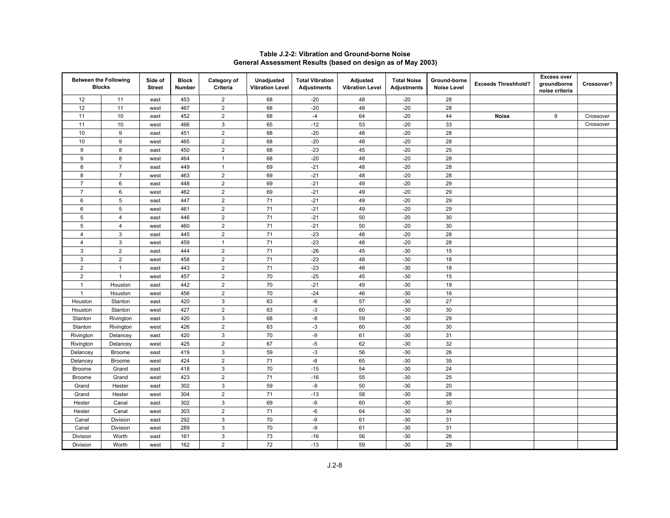|                | <b>Between the Following</b><br><b>Blocks</b> | Side of<br><b>Street</b> | <b>Block</b><br>Number | Category of<br>Criteria | Unadjusted<br><b>Vibration Level</b> | <b>Total Vibration</b><br><b>Adjustments</b> | Adjusted<br><b>Vibration Level</b> | <b>Total Noise</b><br><b>Adjustments</b> | Ground-borne<br><b>Noise Level</b> | <b>Exceeds Threshhold?</b> | <b>Excess over</b><br>groundborne<br>noise criteria | Crossover? |
|----------------|-----------------------------------------------|--------------------------|------------------------|-------------------------|--------------------------------------|----------------------------------------------|------------------------------------|------------------------------------------|------------------------------------|----------------------------|-----------------------------------------------------|------------|
| 12             | 11                                            | east                     | 453                    | $\overline{2}$          | 68                                   | $-20$                                        | 48                                 | $-20$                                    | 28                                 |                            |                                                     |            |
| 12             | 11                                            | west                     | 467                    | $\sqrt{2}$              | 68                                   | $-20$                                        | 48                                 | $-20$                                    | 28                                 |                            |                                                     |            |
| 11             | 10                                            | east                     | 452                    | $\overline{2}$          | 68                                   | $-4$                                         | 64                                 | $-20$                                    | 44                                 | <b>Noise</b>               | 9                                                   | Crossover  |
| 11             | 10                                            | west                     | 466                    | $\mathbf{3}$            | 65                                   | $-12$                                        | 53                                 | $-20$                                    | 33                                 |                            |                                                     | Crossover  |
| 10             | 9                                             | east                     | 451                    | $\overline{2}$          | 68                                   | $-20$                                        | 48                                 | $-20$                                    | 28                                 |                            |                                                     |            |
| 10             | 9                                             | west                     | 465                    | $\overline{2}$          | 68                                   | $-20$                                        | 48                                 | $-20$                                    | 28                                 |                            |                                                     |            |
| $\overline{9}$ | 8                                             | east                     | 450                    | $\overline{2}$          | 68                                   | $-23$                                        | 45                                 | $-20$                                    | 25                                 |                            |                                                     |            |
| 9              | 8                                             | west                     | 464                    | $\mathbf{1}$            | 68                                   | $-20$                                        | 48                                 | $-20$                                    | 28                                 |                            |                                                     |            |
| 8              | $\overline{7}$                                | east                     | 449                    | $\mathbf{1}$            | 69                                   | $-21$                                        | 48                                 | $-20$                                    | 28                                 |                            |                                                     |            |
| 8              | $\overline{7}$                                | west                     | 463                    | $\overline{2}$          | 69                                   | $-21$                                        | 48                                 | $-20$                                    | 28                                 |                            |                                                     |            |
| $\overline{7}$ | 6                                             | east                     | 448                    | $\sqrt{2}$              | 69                                   | $-21$                                        | 49                                 | $-20$                                    | 29                                 |                            |                                                     |            |
| $\overline{7}$ | 6                                             | west                     | 462                    | $\overline{2}$          | 69                                   | $-21$                                        | 49                                 | $-20$                                    | 29                                 |                            |                                                     |            |
| 6              | 5                                             | east                     | 447                    | $\overline{2}$          | 71                                   | $-21$                                        | 49                                 | $-20$                                    | 29                                 |                            |                                                     |            |
| 6              | 5                                             | west                     | 461                    | $\overline{2}$          | $71$                                 | $-21$                                        | 49                                 | $-20$                                    | 29                                 |                            |                                                     |            |
| $\overline{5}$ | $\overline{4}$                                | east                     | 446                    | $\overline{2}$          | 71                                   | $-21$                                        | 50                                 | $-20$                                    | 30                                 |                            |                                                     |            |
| $\sqrt{5}$     | $\overline{4}$                                | west                     | 460                    | $\overline{2}$          | 71                                   | $-21$                                        | 50                                 | $-20$                                    | 30                                 |                            |                                                     |            |
| 4              | 3                                             | east                     | 445                    | $\boldsymbol{2}$        | $71$                                 | $-23$                                        | 48                                 | $-20$                                    | 28                                 |                            |                                                     |            |
| $\overline{4}$ | 3                                             | west                     | 459                    | $\mathbf{1}$            | 71                                   | $-23$                                        | 48                                 | $-20$                                    | 28                                 |                            |                                                     |            |
| 3              | $\overline{2}$                                | east                     | 444                    | $\sqrt{2}$              | 71                                   | $-26$                                        | 45                                 | $-30$                                    | 15                                 |                            |                                                     |            |
| 3              | $\overline{2}$                                | west                     | 458                    | $\overline{2}$          | 71                                   | $-23$                                        | 48                                 | $-30$                                    | 18                                 |                            |                                                     |            |
| $\overline{2}$ | $\mathbf{1}$                                  | east                     | 443                    | $\overline{2}$          | $71$                                 | $-23$                                        | 48                                 | $-30$                                    | 18                                 |                            |                                                     |            |
| $\overline{2}$ | $\overline{1}$                                | west                     | 457                    | $\overline{2}$          | 70                                   | $-25$                                        | 45                                 | $-30$                                    | 15                                 |                            |                                                     |            |
| $\mathbf{1}$   | Houston                                       | east                     | 442                    | $\overline{2}$          | 70                                   | $-21$                                        | 49                                 | $-30$                                    | 19                                 |                            |                                                     |            |
| $\mathbf{1}$   | Houston                                       | west                     | 456                    | $\overline{2}$          | 70                                   | $-24$                                        | 46                                 | $-30$                                    | 16                                 |                            |                                                     |            |
| Houston        | Stanton                                       | east                     | 420                    | $\mathbf{3}$            | 63                                   | $-6$                                         | 57                                 | $-30$                                    | 27                                 |                            |                                                     |            |
| Houston        | Stanton                                       | west                     | 427                    | $\boldsymbol{2}$        | 63                                   | $-3$                                         | 60                                 | $-30$                                    | 30                                 |                            |                                                     |            |
| Stanton        | Rivington                                     | east                     | 420                    | $\sqrt{3}$              | 68                                   | -8                                           | 59                                 | $-30$                                    | 29                                 |                            |                                                     |            |
| Stanton        | Rivington                                     | west                     | 426                    | $\overline{2}$          | 63                                   | $-3$                                         | 60                                 | $-30$                                    | 30                                 |                            |                                                     |            |
| Rivington      | Delancey                                      | east                     | 420                    | $\mathbf{3}$            | 70                                   | -9                                           | 61                                 | $-30$                                    | 31                                 |                            |                                                     |            |
| Rivington      | Delancey                                      | west                     | 425                    | $\overline{2}$          | 67                                   | $-5$                                         | 62                                 | $-30$                                    | 32                                 |                            |                                                     |            |
| Delancey       | <b>Broome</b>                                 | east                     | 419                    | $\mathbf{3}$            | 59                                   | $-3$                                         | 56                                 | $-30$                                    | 26                                 |                            |                                                     |            |
| Delancey       | <b>Broome</b>                                 | west                     | 424                    | $\sqrt{2}$              | 71                                   | -6                                           | 65                                 | $-30$                                    | 35                                 |                            |                                                     |            |
| <b>Broome</b>  | Grand                                         | east                     | 418                    | $\sqrt{3}$              | 70                                   | $-15$                                        | 54                                 | $-30$                                    | 24                                 |                            |                                                     |            |
| <b>Broome</b>  | Grand                                         | west                     | 423                    | $\overline{2}$          | 71                                   | $-16$                                        | 55                                 | $-30$                                    | 25                                 |                            |                                                     |            |
| Grand          | Hester                                        | east                     | 302                    | $\mathbf{3}$            | 59                                   | -9                                           | 50                                 | $-30$                                    | 20                                 |                            |                                                     |            |
| Grand          | Hester                                        | west                     | 304                    | $\overline{2}$          | 71                                   | $-13$                                        | 58                                 | $-30$                                    | 28                                 |                            |                                                     |            |
| Hester         | Canal                                         | east                     | 302                    | 3                       | 69                                   | -9                                           | 60                                 | $-30$                                    | 30                                 |                            |                                                     |            |
| Hester         | Canal                                         | west                     | 303                    | $\overline{2}$          | 71                                   | -6                                           | 64                                 | $-30$                                    | 34                                 |                            |                                                     |            |
| Canal          | Division                                      | east                     | 292                    | $\sqrt{3}$              | 70                                   | $-9$                                         | 61                                 | $-30$                                    | 31                                 |                            |                                                     |            |
| Canal          | Division                                      | west                     | 289                    | $\mathbf{3}$            | 70                                   | -9                                           | 61                                 | $-30$                                    | 31                                 |                            |                                                     |            |
| Division       | Worth                                         | east                     | 161                    | 3                       | 73                                   | $-16$                                        | 56                                 | $-30$                                    | 26                                 |                            |                                                     |            |
| Division       | Worth                                         | west                     | 162                    | $\overline{2}$          | 72                                   | $-13$                                        | 59                                 | $-30$                                    | 29                                 |                            |                                                     |            |